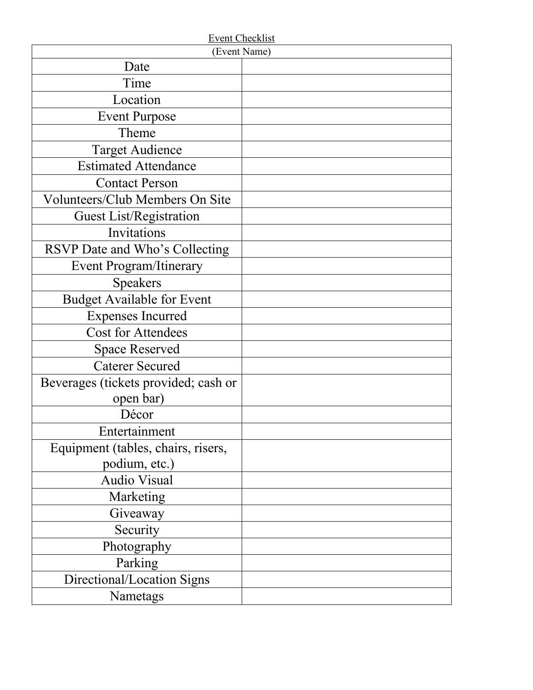| <b>Event Checklist</b>               |  |
|--------------------------------------|--|
| (Event Name)                         |  |
| Date                                 |  |
| Time                                 |  |
| Location                             |  |
| <b>Event Purpose</b>                 |  |
| Theme                                |  |
| <b>Target Audience</b>               |  |
| <b>Estimated Attendance</b>          |  |
| <b>Contact Person</b>                |  |
| Volunteers/Club Members On Site      |  |
| <b>Guest List/Registration</b>       |  |
| Invitations                          |  |
| RSVP Date and Who's Collecting       |  |
| <b>Event Program/Itinerary</b>       |  |
| <b>Speakers</b>                      |  |
| Budget Available for Event           |  |
| <b>Expenses Incurred</b>             |  |
| <b>Cost for Attendees</b>            |  |
| <b>Space Reserved</b>                |  |
| <b>Caterer Secured</b>               |  |
| Beverages (tickets provided; cash or |  |
| open bar)                            |  |
| Décor                                |  |
| Entertainment                        |  |
| Equipment (tables, chairs, risers,   |  |
| podium, etc.)                        |  |
| <b>Audio Visual</b>                  |  |
| Marketing                            |  |
| Giveaway                             |  |
| Security                             |  |
| Photography                          |  |
| Parking                              |  |
| Directional/Location Signs           |  |
| Nametags                             |  |